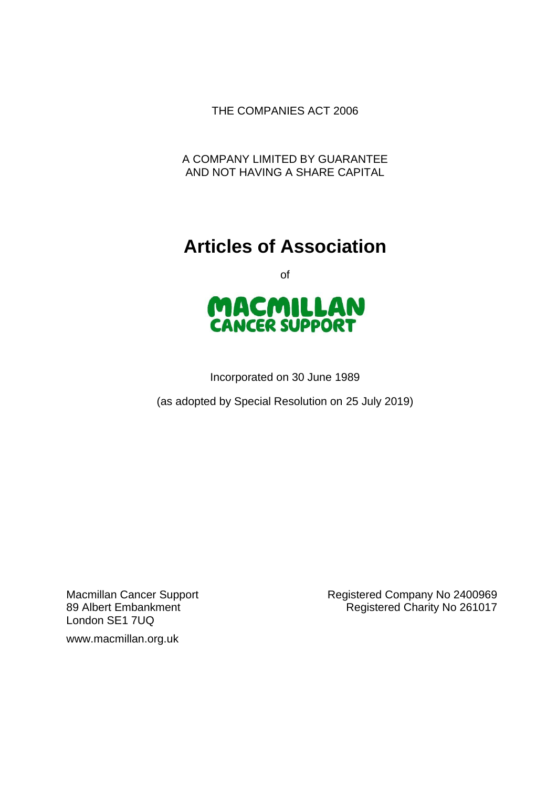THE COMPANIES ACT 2006

A COMPANY LIMITED BY GUARANTEE AND NOT HAVING A SHARE CAPITAL

# **Articles of Association**

of



Incorporated on 30 June 1989

(as adopted by Special Resolution on 25 July 2019)

London SE1 7UQ

www.macmillan.org.uk

Macmillan Cancer Support **Registered Company No 2400969** 89 Albert Embankment **Registered Charity No 261017**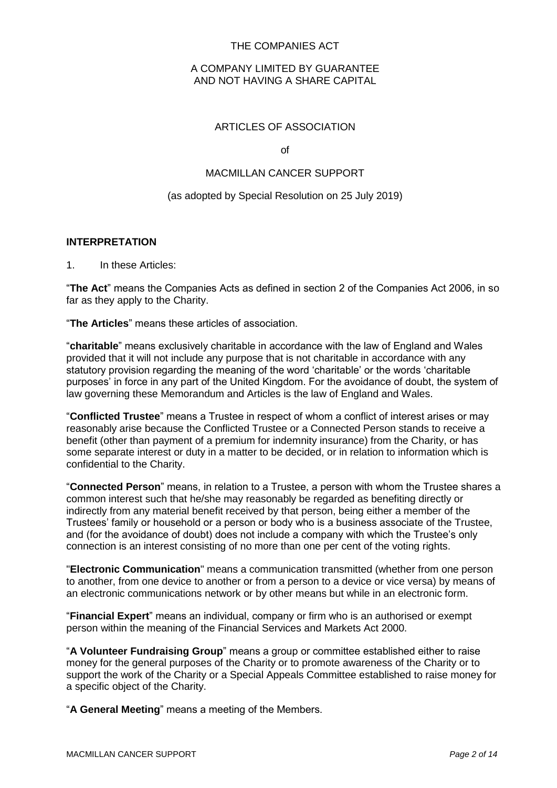# THE COMPANIES ACT

## A COMPANY LIMITED BY GUARANTEE AND NOT HAVING A SHARE CAPITAL

## ARTICLES OF ASSOCIATION

of

# MACMILLAN CANCER SUPPORT

#### (as adopted by Special Resolution on 25 July 2019)

#### **INTERPRETATION**

#### 1. In these Articles:

"**The Act**" means the Companies Acts as defined in section 2 of the Companies Act 2006, in so far as they apply to the Charity.

"**The Articles**" means these articles of association.

"**charitable**" means exclusively charitable in accordance with the law of England and Wales provided that it will not include any purpose that is not charitable in accordance with any statutory provision regarding the meaning of the word 'charitable' or the words 'charitable purposes' in force in any part of the United Kingdom. For the avoidance of doubt, the system of law governing these Memorandum and Articles is the law of England and Wales.

"**Conflicted Trustee**" means a Trustee in respect of whom a conflict of interest arises or may reasonably arise because the Conflicted Trustee or a Connected Person stands to receive a benefit (other than payment of a premium for indemnity insurance) from the Charity, or has some separate interest or duty in a matter to be decided, or in relation to information which is confidential to the Charity.

"**Connected Person**" means, in relation to a Trustee, a person with whom the Trustee shares a common interest such that he/she may reasonably be regarded as benefiting directly or indirectly from any material benefit received by that person, being either a member of the Trustees' family or household or a person or body who is a business associate of the Trustee, and (for the avoidance of doubt) does not include a company with which the Trustee's only connection is an interest consisting of no more than one per cent of the voting rights.

"**Electronic Communication**" means a communication transmitted (whether from one person to another, from one device to another or from a person to a device or vice versa) by means of an electronic communications network or by other means but while in an electronic form.

"**Financial Expert**" means an individual, company or firm who is an authorised or exempt person within the meaning of the Financial Services and Markets Act 2000.

"**A Volunteer Fundraising Group**" means a group or committee established either to raise money for the general purposes of the Charity or to promote awareness of the Charity or to support the work of the Charity or a Special Appeals Committee established to raise money for a specific object of the Charity.

"**A General Meeting**" means a meeting of the Members.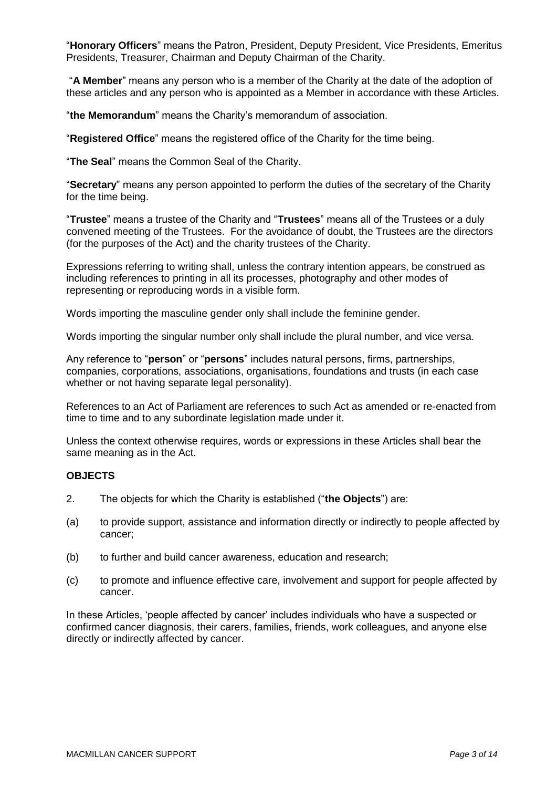"**Honorary Officers**" means the Patron, President, Deputy President, Vice Presidents, Emeritus Presidents, Treasurer, Chairman and Deputy Chairman of the Charity.

"**A Member**" means any person who is a member of the Charity at the date of the adoption of these articles and any person who is appointed as a Member in accordance with these Articles.

"**the Memorandum**" means the Charity's memorandum of association.

"**Registered Office**" means the registered office of the Charity for the time being.

"**The Seal**" means the Common Seal of the Charity.

"**Secretary**" means any person appointed to perform the duties of the secretary of the Charity for the time being.

"**Trustee**" means a trustee of the Charity and "**Trustees**" means all of the Trustees or a duly convened meeting of the Trustees. For the avoidance of doubt, the Trustees are the directors (for the purposes of the Act) and the charity trustees of the Charity.

Expressions referring to writing shall, unless the contrary intention appears, be construed as including references to printing in all its processes, photography and other modes of representing or reproducing words in a visible form.

Words importing the masculine gender only shall include the feminine gender.

Words importing the singular number only shall include the plural number, and vice versa.

Any reference to "**person**" or "**persons**" includes natural persons, firms, partnerships, companies, corporations, associations, organisations, foundations and trusts (in each case whether or not having separate legal personality).

References to an Act of Parliament are references to such Act as amended or re-enacted from time to time and to any subordinate legislation made under it.

Unless the context otherwise requires, words or expressions in these Articles shall bear the same meaning as in the Act.

#### **OBJECTS**

- 2. The objects for which the Charity is established ("**the Objects**") are:
- (a) to provide support, assistance and information directly or indirectly to people affected by cancer;
- (b) to further and build cancer awareness, education and research;
- (c) to promote and influence effective care, involvement and support for people affected by cancer.

In these Articles, 'people affected by cancer' includes individuals who have a suspected or confirmed cancer diagnosis, their carers, families, friends, work colleagues, and anyone else directly or indirectly affected by cancer.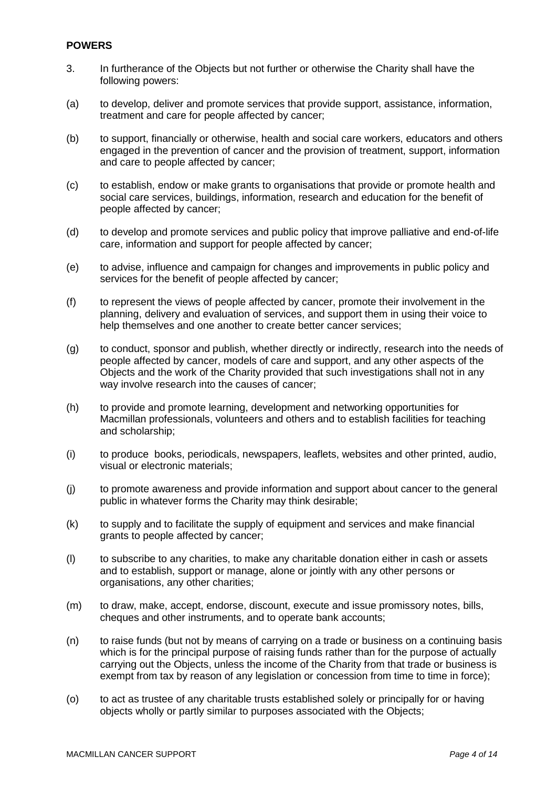## **POWERS**

- 3. In furtherance of the Objects but not further or otherwise the Charity shall have the following powers:
- (a) to develop, deliver and promote services that provide support, assistance, information, treatment and care for people affected by cancer;
- (b) to support, financially or otherwise, health and social care workers, educators and others engaged in the prevention of cancer and the provision of treatment, support, information and care to people affected by cancer;
- (c) to establish, endow or make grants to organisations that provide or promote health and social care services, buildings, information, research and education for the benefit of people affected by cancer;
- (d) to develop and promote services and public policy that improve palliative and end-of-life care, information and support for people affected by cancer;
- (e) to advise, influence and campaign for changes and improvements in public policy and services for the benefit of people affected by cancer;
- (f) to represent the views of people affected by cancer, promote their involvement in the planning, delivery and evaluation of services, and support them in using their voice to help themselves and one another to create better cancer services;
- (g) to conduct, sponsor and publish, whether directly or indirectly, research into the needs of people affected by cancer, models of care and support, and any other aspects of the Objects and the work of the Charity provided that such investigations shall not in any way involve research into the causes of cancer;
- (h) to provide and promote learning, development and networking opportunities for Macmillan professionals, volunteers and others and to establish facilities for teaching and scholarship;
- (i) to produce books, periodicals, newspapers, leaflets, websites and other printed, audio, visual or electronic materials;
- (j) to promote awareness and provide information and support about cancer to the general public in whatever forms the Charity may think desirable;
- (k) to supply and to facilitate the supply of equipment and services and make financial grants to people affected by cancer;
- (l) to subscribe to any charities, to make any charitable donation either in cash or assets and to establish, support or manage, alone or jointly with any other persons or organisations, any other charities;
- (m) to draw, make, accept, endorse, discount, execute and issue promissory notes, bills, cheques and other instruments, and to operate bank accounts;
- (n) to raise funds (but not by means of carrying on a trade or business on a continuing basis which is for the principal purpose of raising funds rather than for the purpose of actually carrying out the Objects, unless the income of the Charity from that trade or business is exempt from tax by reason of any legislation or concession from time to time in force);
- (o) to act as trustee of any charitable trusts established solely or principally for or having objects wholly or partly similar to purposes associated with the Objects;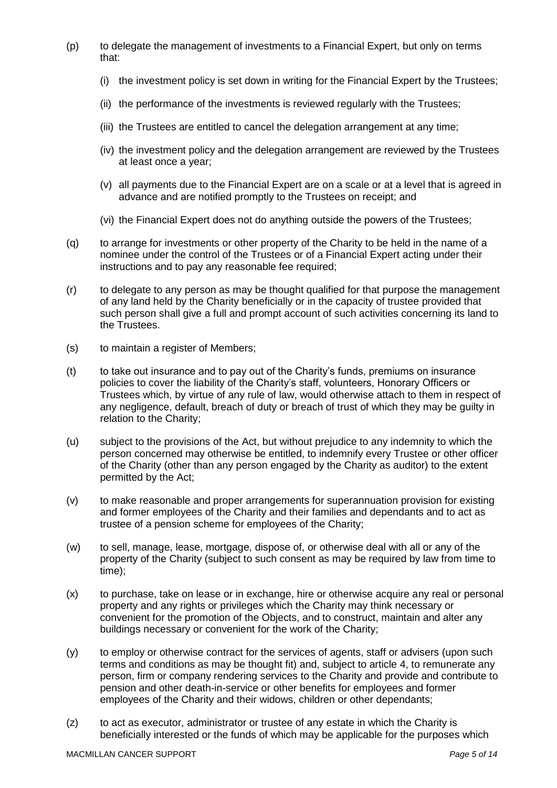- (p) to delegate the management of investments to a Financial Expert, but only on terms that:
	- (i) the investment policy is set down in writing for the Financial Expert by the Trustees;
	- (ii) the performance of the investments is reviewed regularly with the Trustees;
	- (iii) the Trustees are entitled to cancel the delegation arrangement at any time;
	- (iv) the investment policy and the delegation arrangement are reviewed by the Trustees at least once a year;
	- (v) all payments due to the Financial Expert are on a scale or at a level that is agreed in advance and are notified promptly to the Trustees on receipt; and
	- (vi) the Financial Expert does not do anything outside the powers of the Trustees;
- (q) to arrange for investments or other property of the Charity to be held in the name of a nominee under the control of the Trustees or of a Financial Expert acting under their instructions and to pay any reasonable fee required;
- (r) to delegate to any person as may be thought qualified for that purpose the management of any land held by the Charity beneficially or in the capacity of trustee provided that such person shall give a full and prompt account of such activities concerning its land to the Trustees.
- (s) to maintain a register of Members;
- (t) to take out insurance and to pay out of the Charity's funds, premiums on insurance policies to cover the liability of the Charity's staff, volunteers, Honorary Officers or Trustees which, by virtue of any rule of law, would otherwise attach to them in respect of any negligence, default, breach of duty or breach of trust of which they may be guilty in relation to the Charity;
- (u) subject to the provisions of the Act, but without prejudice to any indemnity to which the person concerned may otherwise be entitled, to indemnify every Trustee or other officer of the Charity (other than any person engaged by the Charity as auditor) to the extent permitted by the Act;
- (v) to make reasonable and proper arrangements for superannuation provision for existing and former employees of the Charity and their families and dependants and to act as trustee of a pension scheme for employees of the Charity;
- (w) to sell, manage, lease, mortgage, dispose of, or otherwise deal with all or any of the property of the Charity (subject to such consent as may be required by law from time to time);
- (x) to purchase, take on lease or in exchange, hire or otherwise acquire any real or personal property and any rights or privileges which the Charity may think necessary or convenient for the promotion of the Objects, and to construct, maintain and alter any buildings necessary or convenient for the work of the Charity;
- (y) to employ or otherwise contract for the services of agents, staff or advisers (upon such terms and conditions as may be thought fit) and, subject to article [4,](#page-5-0) to remunerate any person, firm or company rendering services to the Charity and provide and contribute to pension and other death-in-service or other benefits for employees and former employees of the Charity and their widows, children or other dependants;
- (z) to act as executor, administrator or trustee of any estate in which the Charity is beneficially interested or the funds of which may be applicable for the purposes which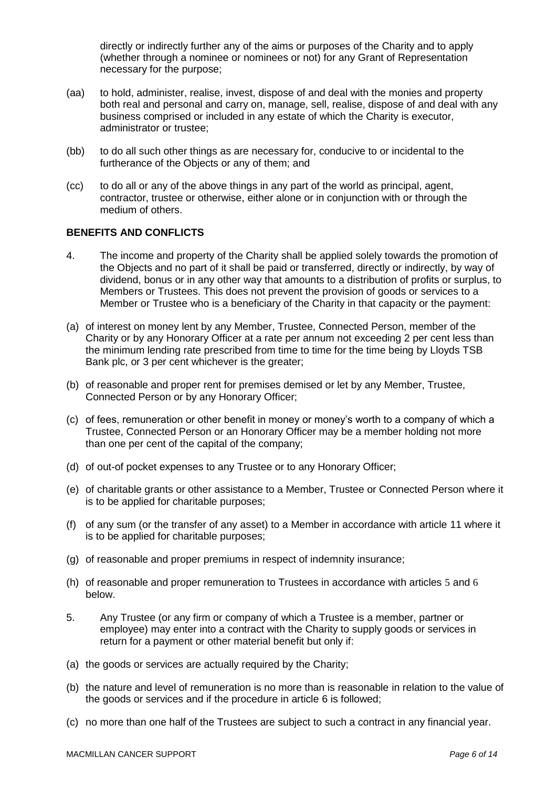directly or indirectly further any of the aims or purposes of the Charity and to apply (whether through a nominee or nominees or not) for any Grant of Representation necessary for the purpose;

- (aa) to hold, administer, realise, invest, dispose of and deal with the monies and property both real and personal and carry on, manage, sell, realise, dispose of and deal with any business comprised or included in any estate of which the Charity is executor, administrator or trustee;
- (bb) to do all such other things as are necessary for, conducive to or incidental to the furtherance of the Objects or any of them; and
- (cc) to do all or any of the above things in any part of the world as principal, agent, contractor, trustee or otherwise, either alone or in conjunction with or through the medium of others.

## **BENEFITS AND CONFLICTS**

- <span id="page-5-0"></span>4. The income and property of the Charity shall be applied solely towards the promotion of the Objects and no part of it shall be paid or transferred, directly or indirectly, by way of dividend, bonus or in any other way that amounts to a distribution of profits or surplus, to Members or Trustees. This does not prevent the provision of goods or services to a Member or Trustee who is a beneficiary of the Charity in that capacity or the payment:
- (a) of interest on money lent by any Member, Trustee, Connected Person, member of the Charity or by any Honorary Officer at a rate per annum not exceeding 2 per cent less than the minimum lending rate prescribed from time to time for the time being by Lloyds TSB Bank plc, or 3 per cent whichever is the greater;
- (b) of reasonable and proper rent for premises demised or let by any Member, Trustee, Connected Person or by any Honorary Officer;
- (c) of fees, remuneration or other benefit in money or money's worth to a company of which a Trustee, Connected Person or an Honorary Officer may be a member holding not more than one per cent of the capital of the company;
- (d) of out-of pocket expenses to any Trustee or to any Honorary Officer;
- (e) of charitable grants or other assistance to a Member, Trustee or Connected Person where it is to be applied for charitable purposes;
- (f) of any sum (or the transfer of any asset) to a Member in accordance with article [11](#page-6-0) where it is to be applied for charitable purposes;
- (g) of reasonable and proper premiums in respect of indemnity insurance;
- (h) of reasonable and proper remuneration to Trustees in accordance with articles [5](#page-5-1) and [6](#page-6-1) below.
- <span id="page-5-1"></span>5. Any Trustee (or any firm or company of which a Trustee is a member, partner or employee) may enter into a contract with the Charity to supply goods or services in return for a payment or other material benefit but only if:
- (a) the goods or services are actually required by the Charity;
- (b) the nature and level of remuneration is no more than is reasonable in relation to the value of the goods or services and if the procedure in article [6](#page-6-1) is followed;
- (c) no more than one half of the Trustees are subject to such a contract in any financial year.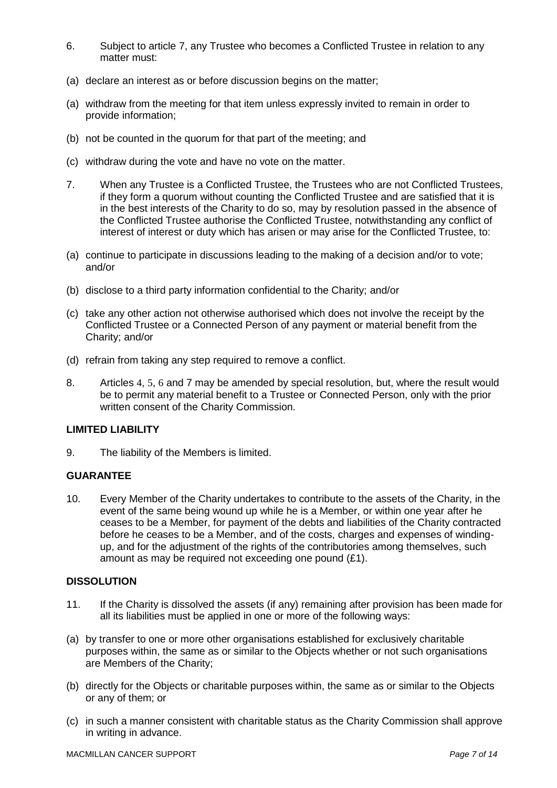- <span id="page-6-1"></span>6. Subject to article [7,](#page-6-2) any Trustee who becomes a Conflicted Trustee in relation to any matter must:
- (a) declare an interest as or before discussion begins on the matter;
- (a) withdraw from the meeting for that item unless expressly invited to remain in order to provide information;
- (b) not be counted in the quorum for that part of the meeting; and
- (c) withdraw during the vote and have no vote on the matter.
- <span id="page-6-2"></span>7. When any Trustee is a Conflicted Trustee, the Trustees who are not Conflicted Trustees, if they form a quorum without counting the Conflicted Trustee and are satisfied that it is in the best interests of the Charity to do so, may by resolution passed in the absence of the Conflicted Trustee authorise the Conflicted Trustee, notwithstanding any conflict of interest of interest or duty which has arisen or may arise for the Conflicted Trustee, to:
- (a) continue to participate in discussions leading to the making of a decision and/or to vote; and/or
- (b) disclose to a third party information confidential to the Charity; and/or
- (c) take any other action not otherwise authorised which does not involve the receipt by the Conflicted Trustee or a Connected Person of any payment or material benefit from the Charity; and/or
- (d) refrain from taking any step required to remove a conflict.
- 8. Articles [4](#page-5-0), [5](#page-5-1), [6](#page-6-1) and [7](#page-6-2) may be amended by special resolution, but, where the result would be to permit any material benefit to a Trustee or Connected Person, only with the prior written consent of the Charity Commission.

## **LIMITED LIABILITY**

9. The liability of the Members is limited.

## **GUARANTEE**

10. Every Member of the Charity undertakes to contribute to the assets of the Charity, in the event of the same being wound up while he is a Member, or within one year after he ceases to be a Member, for payment of the debts and liabilities of the Charity contracted before he ceases to be a Member, and of the costs, charges and expenses of windingup, and for the adjustment of the rights of the contributories among themselves, such amount as may be required not exceeding one pound (£1).

# **DISSOLUTION**

- <span id="page-6-0"></span>11. If the Charity is dissolved the assets (if any) remaining after provision has been made for all its liabilities must be applied in one or more of the following ways:
- (a) by transfer to one or more other organisations established for exclusively charitable purposes within, the same as or similar to the Objects whether or not such organisations are Members of the Charity;
- (b) directly for the Objects or charitable purposes within, the same as or similar to the Objects or any of them; or
- (c) in such a manner consistent with charitable status as the Charity Commission shall approve in writing in advance.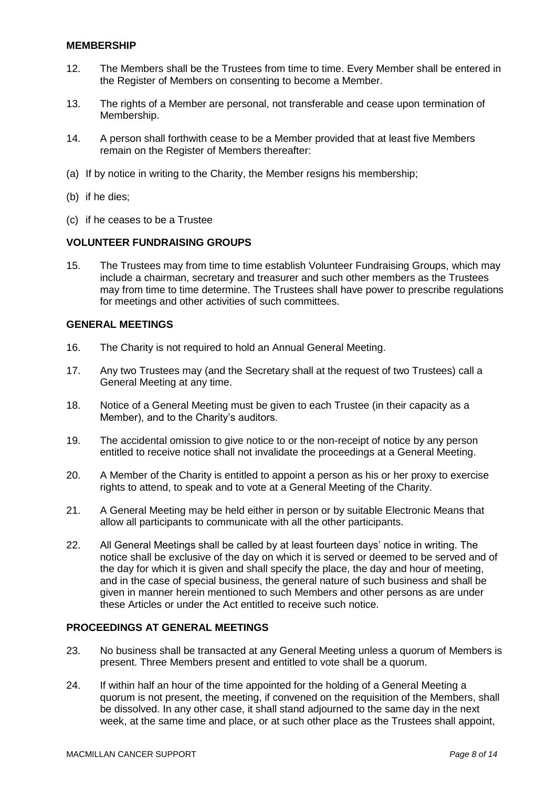# **MEMBERSHIP**

- 12. The Members shall be the Trustees from time to time. Every Member shall be entered in the Register of Members on consenting to become a Member.
- 13. The rights of a Member are personal, not transferable and cease upon termination of Membership.
- 14. A person shall forthwith cease to be a Member provided that at least five Members remain on the Register of Members thereafter:
- (a) If by notice in writing to the Charity, the Member resigns his membership;
- (b) if he dies;
- (c) if he ceases to be a Trustee

## **VOLUNTEER FUNDRAISING GROUPS**

15. The Trustees may from time to time establish Volunteer Fundraising Groups, which may include a chairman, secretary and treasurer and such other members as the Trustees may from time to time determine. The Trustees shall have power to prescribe regulations for meetings and other activities of such committees.

# **GENERAL MEETINGS**

- 16. The Charity is not required to hold an Annual General Meeting.
- 17. Any two Trustees may (and the Secretary shall at the request of two Trustees) call a General Meeting at any time.
- 18. Notice of a General Meeting must be given to each Trustee (in their capacity as a Member), and to the Charity's auditors.
- 19. The accidental omission to give notice to or the non-receipt of notice by any person entitled to receive notice shall not invalidate the proceedings at a General Meeting.
- 20. A Member of the Charity is entitled to appoint a person as his or her proxy to exercise rights to attend, to speak and to vote at a General Meeting of the Charity.
- 21. A General Meeting may be held either in person or by suitable Electronic Means that allow all participants to communicate with all the other participants.
- 22. All General Meetings shall be called by at least fourteen days' notice in writing. The notice shall be exclusive of the day on which it is served or deemed to be served and of the day for which it is given and shall specify the place, the day and hour of meeting, and in the case of special business, the general nature of such business and shall be given in manner herein mentioned to such Members and other persons as are under these Articles or under the Act entitled to receive such notice.

## **PROCEEDINGS AT GENERAL MEETINGS**

- 23. No business shall be transacted at any General Meeting unless a quorum of Members is present. Three Members present and entitled to vote shall be a quorum.
- 24. If within half an hour of the time appointed for the holding of a General Meeting a quorum is not present, the meeting, if convened on the requisition of the Members, shall be dissolved. In any other case, it shall stand adjourned to the same day in the next week, at the same time and place, or at such other place as the Trustees shall appoint,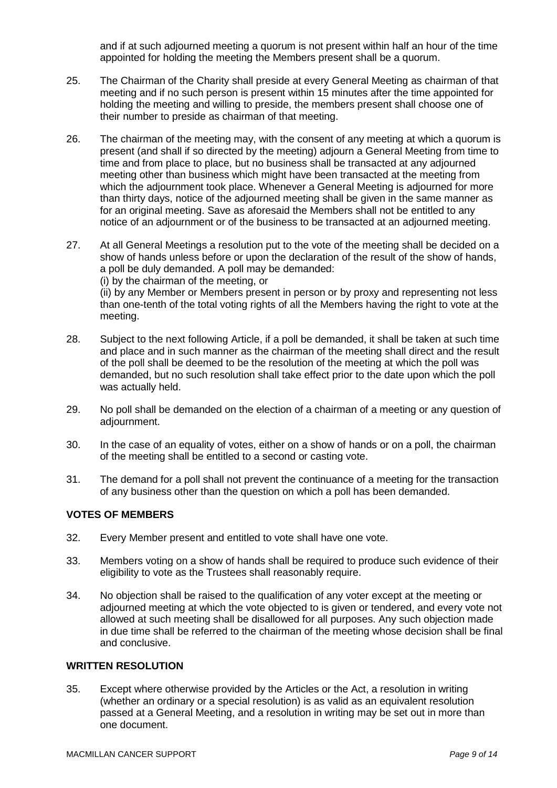and if at such adjourned meeting a quorum is not present within half an hour of the time appointed for holding the meeting the Members present shall be a quorum.

- 25. The Chairman of the Charity shall preside at every General Meeting as chairman of that meeting and if no such person is present within 15 minutes after the time appointed for holding the meeting and willing to preside, the members present shall choose one of their number to preside as chairman of that meeting.
- 26. The chairman of the meeting may, with the consent of any meeting at which a quorum is present (and shall if so directed by the meeting) adjourn a General Meeting from time to time and from place to place, but no business shall be transacted at any adjourned meeting other than business which might have been transacted at the meeting from which the adjournment took place. Whenever a General Meeting is adjourned for more than thirty days, notice of the adjourned meeting shall be given in the same manner as for an original meeting. Save as aforesaid the Members shall not be entitled to any notice of an adjournment or of the business to be transacted at an adjourned meeting.
- 27. At all General Meetings a resolution put to the vote of the meeting shall be decided on a show of hands unless before or upon the declaration of the result of the show of hands, a poll be duly demanded. A poll may be demanded: (i) by the chairman of the meeting, or (ii) by any Member or Members present in person or by proxy and representing not less

than one-tenth of the total voting rights of all the Members having the right to vote at the meeting.

- 28. Subject to the next following Article, if a poll be demanded, it shall be taken at such time and place and in such manner as the chairman of the meeting shall direct and the result of the poll shall be deemed to be the resolution of the meeting at which the poll was demanded, but no such resolution shall take effect prior to the date upon which the poll was actually held.
- 29. No poll shall be demanded on the election of a chairman of a meeting or any question of adjournment.
- 30. In the case of an equality of votes, either on a show of hands or on a poll, the chairman of the meeting shall be entitled to a second or casting vote.
- 31. The demand for a poll shall not prevent the continuance of a meeting for the transaction of any business other than the question on which a poll has been demanded.

# **VOTES OF MEMBERS**

- 32. Every Member present and entitled to vote shall have one vote.
- 33. Members voting on a show of hands shall be required to produce such evidence of their eligibility to vote as the Trustees shall reasonably require.
- 34. No objection shall be raised to the qualification of any voter except at the meeting or adjourned meeting at which the vote objected to is given or tendered, and every vote not allowed at such meeting shall be disallowed for all purposes. Any such objection made in due time shall be referred to the chairman of the meeting whose decision shall be final and conclusive.

# **WRITTEN RESOLUTION**

35. Except where otherwise provided by the Articles or the Act, a resolution in writing (whether an ordinary or a special resolution) is as valid as an equivalent resolution passed at a General Meeting, and a resolution in writing may be set out in more than one document.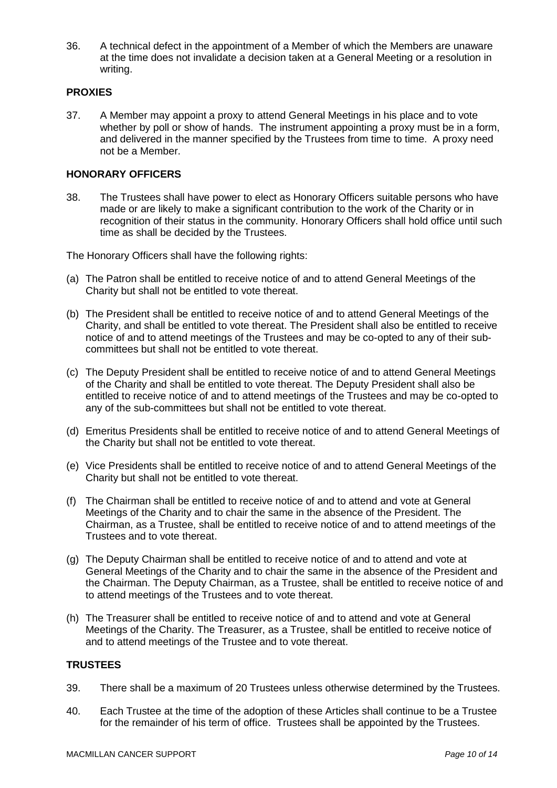36. A technical defect in the appointment of a Member of which the Members are unaware at the time does not invalidate a decision taken at a General Meeting or a resolution in writing.

# **PROXIES**

37. A Member may appoint a proxy to attend General Meetings in his place and to vote whether by poll or show of hands. The instrument appointing a proxy must be in a form, and delivered in the manner specified by the Trustees from time to time. A proxy need not be a Member.

## **HONORARY OFFICERS**

38. The Trustees shall have power to elect as Honorary Officers suitable persons who have made or are likely to make a significant contribution to the work of the Charity or in recognition of their status in the community. Honorary Officers shall hold office until such time as shall be decided by the Trustees.

The Honorary Officers shall have the following rights:

- (a) The Patron shall be entitled to receive notice of and to attend General Meetings of the Charity but shall not be entitled to vote thereat.
- (b) The President shall be entitled to receive notice of and to attend General Meetings of the Charity, and shall be entitled to vote thereat. The President shall also be entitled to receive notice of and to attend meetings of the Trustees and may be co-opted to any of their subcommittees but shall not be entitled to vote thereat.
- (c) The Deputy President shall be entitled to receive notice of and to attend General Meetings of the Charity and shall be entitled to vote thereat. The Deputy President shall also be entitled to receive notice of and to attend meetings of the Trustees and may be co-opted to any of the sub-committees but shall not be entitled to vote thereat.
- (d) Emeritus Presidents shall be entitled to receive notice of and to attend General Meetings of the Charity but shall not be entitled to vote thereat.
- (e) Vice Presidents shall be entitled to receive notice of and to attend General Meetings of the Charity but shall not be entitled to vote thereat.
- (f) The Chairman shall be entitled to receive notice of and to attend and vote at General Meetings of the Charity and to chair the same in the absence of the President. The Chairman, as a Trustee, shall be entitled to receive notice of and to attend meetings of the Trustees and to vote thereat.
- (g) The Deputy Chairman shall be entitled to receive notice of and to attend and vote at General Meetings of the Charity and to chair the same in the absence of the President and the Chairman. The Deputy Chairman, as a Trustee, shall be entitled to receive notice of and to attend meetings of the Trustees and to vote thereat.
- (h) The Treasurer shall be entitled to receive notice of and to attend and vote at General Meetings of the Charity. The Treasurer, as a Trustee, shall be entitled to receive notice of and to attend meetings of the Trustee and to vote thereat.

## **TRUSTEES**

- 39. There shall be a maximum of 20 Trustees unless otherwise determined by the Trustees.
- 40. Each Trustee at the time of the adoption of these Articles shall continue to be a Trustee for the remainder of his term of office. Trustees shall be appointed by the Trustees.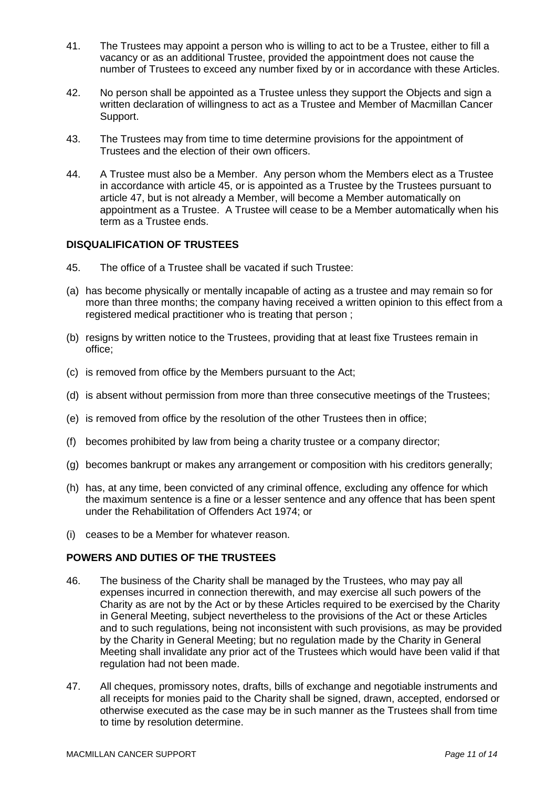- 41. The Trustees may appoint a person who is willing to act to be a Trustee, either to fill a vacancy or as an additional Trustee, provided the appointment does not cause the number of Trustees to exceed any number fixed by or in accordance with these Articles.
- 42. No person shall be appointed as a Trustee unless they support the Objects and sign a written declaration of willingness to act as a Trustee and Member of Macmillan Cancer Support.
- 43. The Trustees may from time to time determine provisions for the appointment of Trustees and the election of their own officers.
- 44. A Trustee must also be a Member. Any person whom the Members elect as a Trustee in accordance with article 45, or is appointed as a Trustee by the Trustees pursuant to article 47, but is not already a Member, will become a Member automatically on appointment as a Trustee. A Trustee will cease to be a Member automatically when his term as a Trustee ends.

# **DISQUALIFICATION OF TRUSTEES**

- 45. The office of a Trustee shall be vacated if such Trustee:
- (a) has become physically or mentally incapable of acting as a trustee and may remain so for more than three months; the company having received a written opinion to this effect from a registered medical practitioner who is treating that person ;
- (b) resigns by written notice to the Trustees, providing that at least fixe Trustees remain in office;
- (c) is removed from office by the Members pursuant to the Act;
- (d) is absent without permission from more than three consecutive meetings of the Trustees;
- (e) is removed from office by the resolution of the other Trustees then in office;
- (f) becomes prohibited by law from being a charity trustee or a company director;
- (g) becomes bankrupt or makes any arrangement or composition with his creditors generally;
- (h) has, at any time, been convicted of any criminal offence, excluding any offence for which the maximum sentence is a fine or a lesser sentence and any offence that has been spent under the Rehabilitation of Offenders Act 1974; or
- (i) ceases to be a Member for whatever reason.

## **POWERS AND DUTIES OF THE TRUSTEES**

- 46. The business of the Charity shall be managed by the Trustees, who may pay all expenses incurred in connection therewith, and may exercise all such powers of the Charity as are not by the Act or by these Articles required to be exercised by the Charity in General Meeting, subject nevertheless to the provisions of the Act or these Articles and to such regulations, being not inconsistent with such provisions, as may be provided by the Charity in General Meeting; but no regulation made by the Charity in General Meeting shall invalidate any prior act of the Trustees which would have been valid if that regulation had not been made.
- 47. All cheques, promissory notes, drafts, bills of exchange and negotiable instruments and all receipts for monies paid to the Charity shall be signed, drawn, accepted, endorsed or otherwise executed as the case may be in such manner as the Trustees shall from time to time by resolution determine.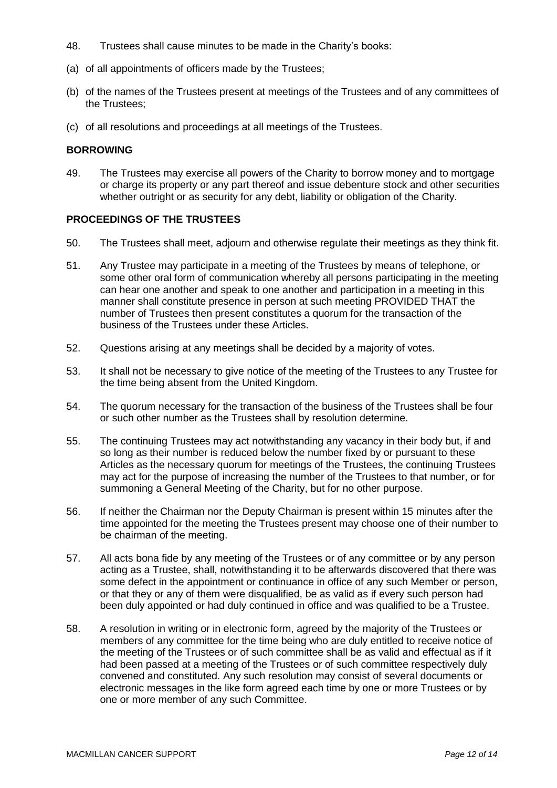- 48. Trustees shall cause minutes to be made in the Charity's books:
- (a) of all appointments of officers made by the Trustees;
- (b) of the names of the Trustees present at meetings of the Trustees and of any committees of the Trustees;
- (c) of all resolutions and proceedings at all meetings of the Trustees.

#### **BORROWING**

49. The Trustees may exercise all powers of the Charity to borrow money and to mortgage or charge its property or any part thereof and issue debenture stock and other securities whether outright or as security for any debt, liability or obligation of the Charity.

# **PROCEEDINGS OF THE TRUSTEES**

- 50. The Trustees shall meet, adjourn and otherwise regulate their meetings as they think fit.
- 51. Any Trustee may participate in a meeting of the Trustees by means of telephone, or some other oral form of communication whereby all persons participating in the meeting can hear one another and speak to one another and participation in a meeting in this manner shall constitute presence in person at such meeting PROVIDED THAT the number of Trustees then present constitutes a quorum for the transaction of the business of the Trustees under these Articles.
- 52. Questions arising at any meetings shall be decided by a majority of votes.
- 53. It shall not be necessary to give notice of the meeting of the Trustees to any Trustee for the time being absent from the United Kingdom.
- 54. The quorum necessary for the transaction of the business of the Trustees shall be four or such other number as the Trustees shall by resolution determine.
- 55. The continuing Trustees may act notwithstanding any vacancy in their body but, if and so long as their number is reduced below the number fixed by or pursuant to these Articles as the necessary quorum for meetings of the Trustees, the continuing Trustees may act for the purpose of increasing the number of the Trustees to that number, or for summoning a General Meeting of the Charity, but for no other purpose.
- 56. If neither the Chairman nor the Deputy Chairman is present within 15 minutes after the time appointed for the meeting the Trustees present may choose one of their number to be chairman of the meeting.
- 57. All acts bona fide by any meeting of the Trustees or of any committee or by any person acting as a Trustee, shall, notwithstanding it to be afterwards discovered that there was some defect in the appointment or continuance in office of any such Member or person, or that they or any of them were disqualified, be as valid as if every such person had been duly appointed or had duly continued in office and was qualified to be a Trustee.
- 58. A resolution in writing or in electronic form, agreed by the majority of the Trustees or members of any committee for the time being who are duly entitled to receive notice of the meeting of the Trustees or of such committee shall be as valid and effectual as if it had been passed at a meeting of the Trustees or of such committee respectively duly convened and constituted. Any such resolution may consist of several documents or electronic messages in the like form agreed each time by one or more Trustees or by one or more member of any such Committee.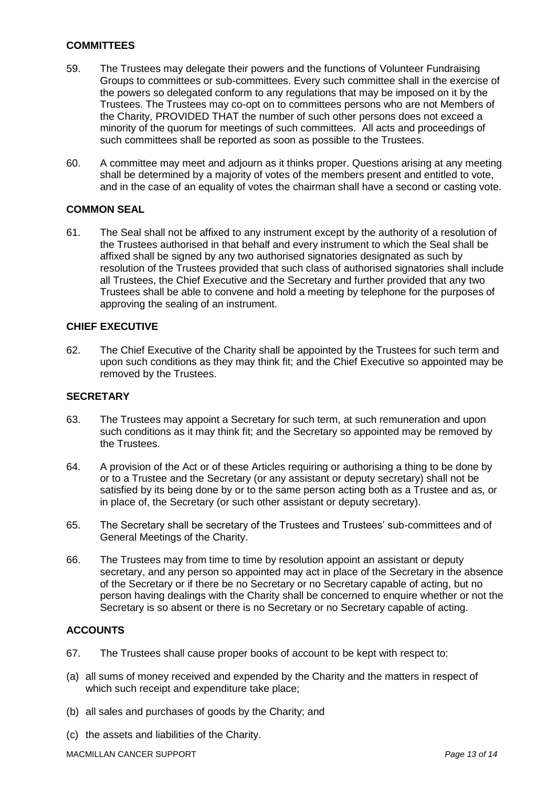# **COMMITTEES**

- 59. The Trustees may delegate their powers and the functions of Volunteer Fundraising Groups to committees or sub-committees. Every such committee shall in the exercise of the powers so delegated conform to any regulations that may be imposed on it by the Trustees. The Trustees may co-opt on to committees persons who are not Members of the Charity, PROVIDED THAT the number of such other persons does not exceed a minority of the quorum for meetings of such committees. All acts and proceedings of such committees shall be reported as soon as possible to the Trustees.
- 60. A committee may meet and adjourn as it thinks proper. Questions arising at any meeting shall be determined by a majority of votes of the members present and entitled to vote, and in the case of an equality of votes the chairman shall have a second or casting vote.

# **COMMON SEAL**

61. The Seal shall not be affixed to any instrument except by the authority of a resolution of the Trustees authorised in that behalf and every instrument to which the Seal shall be affixed shall be signed by any two authorised signatories designated as such by resolution of the Trustees provided that such class of authorised signatories shall include all Trustees, the Chief Executive and the Secretary and further provided that any two Trustees shall be able to convene and hold a meeting by telephone for the purposes of approving the sealing of an instrument.

## **CHIEF EXECUTIVE**

62. The Chief Executive of the Charity shall be appointed by the Trustees for such term and upon such conditions as they may think fit; and the Chief Executive so appointed may be removed by the Trustees.

## **SECRETARY**

- 63. The Trustees may appoint a Secretary for such term, at such remuneration and upon such conditions as it may think fit; and the Secretary so appointed may be removed by the Trustees.
- 64. A provision of the Act or of these Articles requiring or authorising a thing to be done by or to a Trustee and the Secretary (or any assistant or deputy secretary) shall not be satisfied by its being done by or to the same person acting both as a Trustee and as, or in place of, the Secretary (or such other assistant or deputy secretary).
- 65. The Secretary shall be secretary of the Trustees and Trustees' sub-committees and of General Meetings of the Charity.
- 66. The Trustees may from time to time by resolution appoint an assistant or deputy secretary, and any person so appointed may act in place of the Secretary in the absence of the Secretary or if there be no Secretary or no Secretary capable of acting, but no person having dealings with the Charity shall be concerned to enquire whether or not the Secretary is so absent or there is no Secretary or no Secretary capable of acting.

## **ACCOUNTS**

- 67. The Trustees shall cause proper books of account to be kept with respect to:
- (a) all sums of money received and expended by the Charity and the matters in respect of which such receipt and expenditure take place;
- (b) all sales and purchases of goods by the Charity; and
- (c) the assets and liabilities of the Charity.